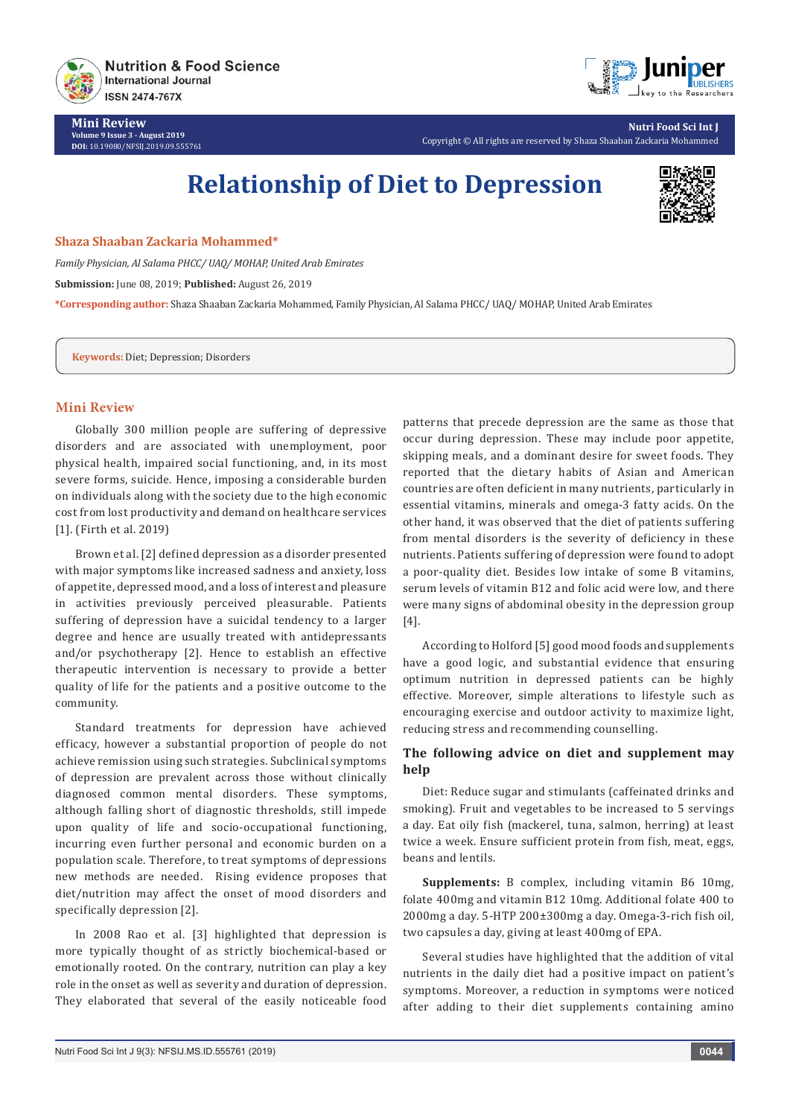

**Mini Review Volume 9 Issue 3 - August 2019 DOI:** [10.19080/NFSIJ.2019.09.555761](http://dx.doi.org/10.19080/NFSIJ.2019.09.555761)



**Nutri Food Sci Int J** Copyright © All rights are reserved by Shaza Shaaban Zackaria Mohammed

# **Relationship of Diet to Depression**



#### **Shaza Shaaban Zackaria Mohammed\***

*Family Physician, Al Salama PHCC/ UAQ/ MOHAP, United Arab Emirates* **Submission:** June 08, 2019; **Published:** August 26, 2019 **\*Corresponding author:** Shaza Shaaban Zackaria Mohammed, Family Physician, Al Salama PHCC/ UAQ/ MOHAP, United Arab Emirates

**Keywords:** Diet; Depression; Disorders

## **Mini Review**

Globally 300 million people are suffering of depressive disorders and are associated with unemployment, poor physical health, impaired social functioning, and, in its most severe forms, suicide. Hence, imposing a considerable burden on individuals along with the society due to the high economic cost from lost productivity and demand on healthcare services [1]. (Firth et al. 2019)

Brown et al. [2] defined depression as a disorder presented with major symptoms like increased sadness and anxiety, loss of appetite, depressed mood, and a loss of interest and pleasure in activities previously perceived pleasurable. Patients suffering of depression have a suicidal tendency to a larger degree and hence are usually treated with antidepressants and/or psychotherapy [2]. Hence to establish an effective therapeutic intervention is necessary to provide a better quality of life for the patients and a positive outcome to the community.

Standard treatments for depression have achieved efficacy, however a substantial proportion of people do not achieve remission using such strategies. Subclinical symptoms of depression are prevalent across those without clinically diagnosed common mental disorders. These symptoms, although falling short of diagnostic thresholds, still impede upon quality of life and socio-occupational functioning, incurring even further personal and economic burden on a population scale. Therefore, to treat symptoms of depressions new methods are needed. Rising evidence proposes that diet/nutrition may affect the onset of mood disorders and specifically depression [2].

In 2008 Rao et al. [3] highlighted that depression is more typically thought of as strictly biochemical-based or emotionally rooted. On the contrary, nutrition can play a key role in the onset as well as severity and duration of depression. They elaborated that several of the easily noticeable food

patterns that precede depression are the same as those that occur during depression. These may include poor appetite, skipping meals, and a dominant desire for sweet foods. They reported that the dietary habits of Asian and American countries are often deficient in many nutrients, particularly in essential vitamins, minerals and omega-3 fatty acids. On the other hand, it was observed that the diet of patients suffering from mental disorders is the severity of deficiency in these nutrients. Patients suffering of depression were found to adopt a poor-quality diet. Besides low intake of some B vitamins, serum levels of vitamin B12 and folic acid were low, and there were many signs of abdominal obesity in the depression group [4].

According to Holford [5] good mood foods and supplements have a good logic, and substantial evidence that ensuring optimum nutrition in depressed patients can be highly effective. Moreover, simple alterations to lifestyle such as encouraging exercise and outdoor activity to maximize light, reducing stress and recommending counselling.

# **The following advice on diet and supplement may help**

Diet: Reduce sugar and stimulants (caffeinated drinks and smoking). Fruit and vegetables to be increased to 5 servings a day. Eat oily fish (mackerel, tuna, salmon, herring) at least twice a week. Ensure sufficient protein from fish, meat, eggs, beans and lentils.

**Supplements:** B complex, including vitamin B6 10mg, folate 400mg and vitamin B12 10mg. Additional folate 400 to 2000mg a day. 5-HTP 200±300mg a day. Omega-3-rich fish oil, two capsules a day, giving at least 400mg of EPA.

Several studies have highlighted that the addition of vital nutrients in the daily diet had a positive impact on patient's symptoms. Moreover, a reduction in symptoms were noticed after adding to their diet supplements containing amino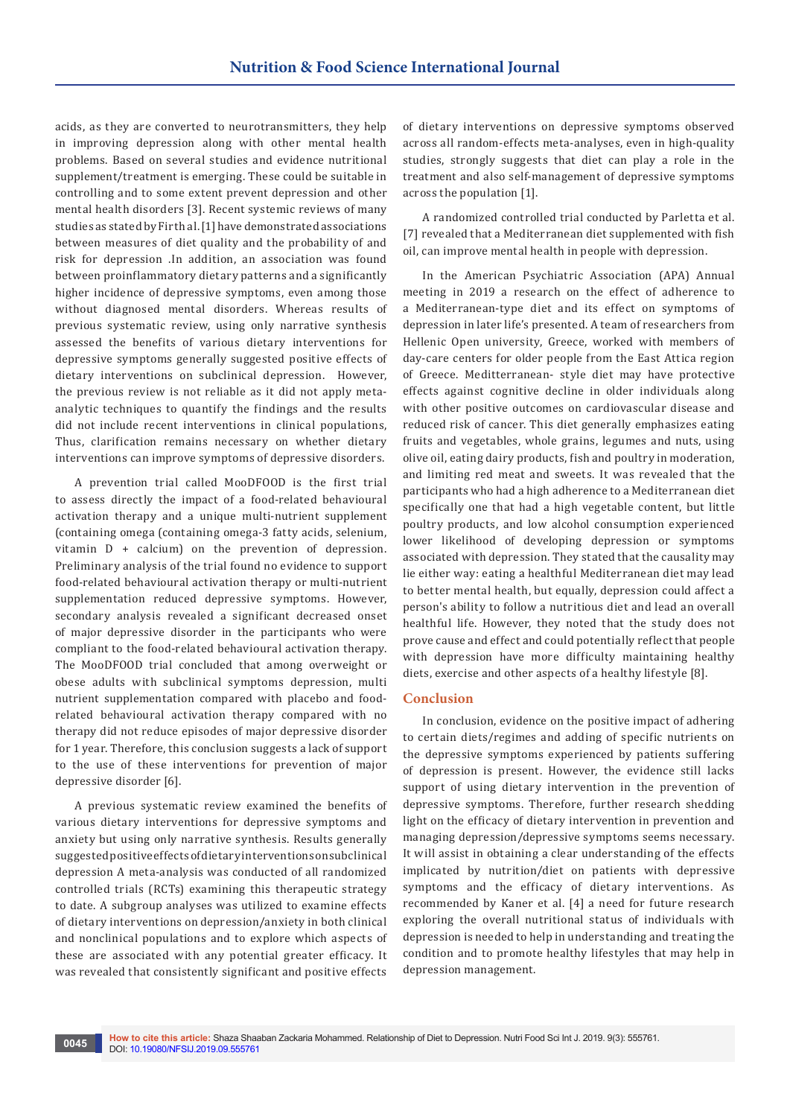acids, as they are converted to neurotransmitters, they help in improving depression along with other mental health problems. Based on several studies and evidence nutritional supplement/treatment is emerging. These could be suitable in controlling and to some extent prevent depression and other mental health disorders [3]. Recent systemic reviews of many studies as stated by Firth al. [1] have demonstrated associations between measures of diet quality and the probability of and risk for depression .In addition, an association was found between proinflammatory dietary patterns and a significantly higher incidence of depressive symptoms, even among those without diagnosed mental disorders. Whereas results of previous systematic review, using only narrative synthesis assessed the benefits of various dietary interventions for depressive symptoms generally suggested positive effects of dietary interventions on subclinical depression. However, the previous review is not reliable as it did not apply metaanalytic techniques to quantify the findings and the results did not include recent interventions in clinical populations, Thus, clarification remains necessary on whether dietary interventions can improve symptoms of depressive disorders.

A prevention trial called MooDFOOD is the first trial to assess directly the impact of a food-related behavioural activation therapy and a unique multi-nutrient supplement (containing omega (containing omega-3 fatty acids, selenium, vitamin D + calcium) on the prevention of depression. Preliminary analysis of the trial found no evidence to support food-related behavioural activation therapy or multi-nutrient supplementation reduced depressive symptoms. However, secondary analysis revealed a significant decreased onset of major depressive disorder in the participants who were compliant to the food-related behavioural activation therapy. The MooDFOOD trial concluded that among overweight or obese adults with subclinical symptoms depression, multi nutrient supplementation compared with placebo and foodrelated behavioural activation therapy compared with no therapy did not reduce episodes of major depressive disorder for 1 year. Therefore, this conclusion suggests a lack of support to the use of these interventions for prevention of major depressive disorder [6].

A previous systematic review examined the benefits of various dietary interventions for depressive symptoms and anxiety but using only narrative synthesis. Results generally suggested positive effects of dietary interventions on subclinical depression A meta-analysis was conducted of all randomized controlled trials (RCTs) examining this therapeutic strategy to date. A subgroup analyses was utilized to examine effects of dietary interventions on depression/anxiety in both clinical and nonclinical populations and to explore which aspects of these are associated with any potential greater efficacy. It was revealed that consistently significant and positive effects

of dietary interventions on depressive symptoms observed across all random-effects meta-analyses, even in high-quality studies, strongly suggests that diet can play a role in the treatment and also self-management of depressive symptoms across the population [1].

A randomized controlled trial conducted by Parletta et al. [7] revealed that a Mediterranean diet supplemented with fish oil, can improve mental health in people with depression.

In the American Psychiatric Association (APA) Annual meeting in 2019 a research on the effect of adherence to a Mediterranean-type diet and its effect on symptoms of depression in later life's presented. A team of researchers from Hellenic Open university, Greece, worked with members of day-care centers for older people from the East Attica region of Greece. Meditterranean- style diet may have protective effects against cognitive decline in older individuals along with other positive outcomes on cardiovascular disease and reduced risk of cancer. This diet generally emphasizes eating fruits and vegetables, whole grains, legumes and nuts, using olive oil, eating dairy products, fish and poultry in moderation, and limiting red meat and sweets. It was revealed that the participants who had a high adherence to a Mediterranean diet specifically one that had a high vegetable content, but little poultry products, and low alcohol consumption experienced lower likelihood of developing depression or symptoms associated with depression. They stated that the causality may lie either way: eating a healthful Mediterranean diet may lead to better mental health, but equally, depression could affect a person's ability to follow a nutritious diet and lead an overall healthful life. However, they noted that the study does not prove cause and effect and could potentially reflect that people with depression have more difficulty maintaining healthy diets, exercise and other aspects of a healthy lifestyle [8].

#### **Conclusion**

In conclusion, evidence on the positive impact of adhering to certain diets/regimes and adding of specific nutrients on the depressive symptoms experienced by patients suffering of depression is present. However, the evidence still lacks support of using dietary intervention in the prevention of depressive symptoms. Therefore, further research shedding light on the efficacy of dietary intervention in prevention and managing depression/depressive symptoms seems necessary. It will assist in obtaining a clear understanding of the effects implicated by nutrition/diet on patients with depressive symptoms and the efficacy of dietary interventions. As recommended by Kaner et al. [4] a need for future research exploring the overall nutritional status of individuals with depression is needed to help in understanding and treating the condition and to promote healthy lifestyles that may help in depression management.